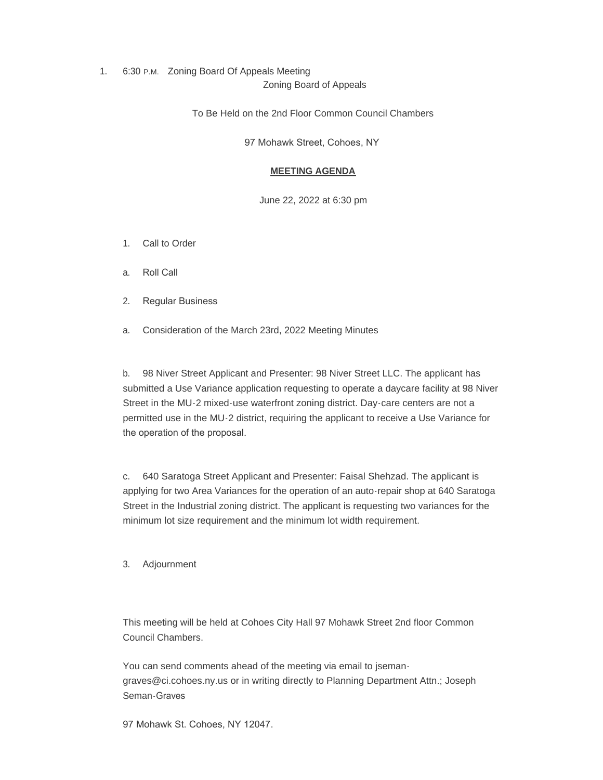1. 6:30 P.M. Zoning Board Of Appeals Meeting

Zoning Board of Appeals

To Be Held on the 2nd Floor Common Council Chambers

97 Mohawk Street, Cohoes, NY

## **MEETING AGENDA**

June 22, 2022 at 6:30 pm

- 1. Call to Order
- a. Roll Call
- 2. Regular Business
- a. Consideration of the March 23rd, 2022 Meeting Minutes

b. 98 Niver Street Applicant and Presenter: 98 Niver Street LLC. The applicant has submitted a Use Variance application requesting to operate a daycare facility at 98 Niver Street in the MU-2 mixed-use waterfront zoning district. Day-care centers are not a permitted use in the MU-2 district, requiring the applicant to receive a Use Variance for the operation of the proposal.

c. 640 Saratoga Street Applicant and Presenter: Faisal Shehzad. The applicant is applying for two Area Variances for the operation of an auto-repair shop at 640 Saratoga Street in the Industrial zoning district. The applicant is requesting two variances for the minimum lot size requirement and the minimum lot width requirement.

3. Adjournment

This meeting will be held at Cohoes City Hall 97 Mohawk Street 2nd floor Common Council Chambers.

You can send comments ahead of the meeting via email to jsemangraves@ci.cohoes.ny.us or in writing directly to Planning Department Attn.; Joseph Seman-Graves

97 Mohawk St. Cohoes, NY 12047.